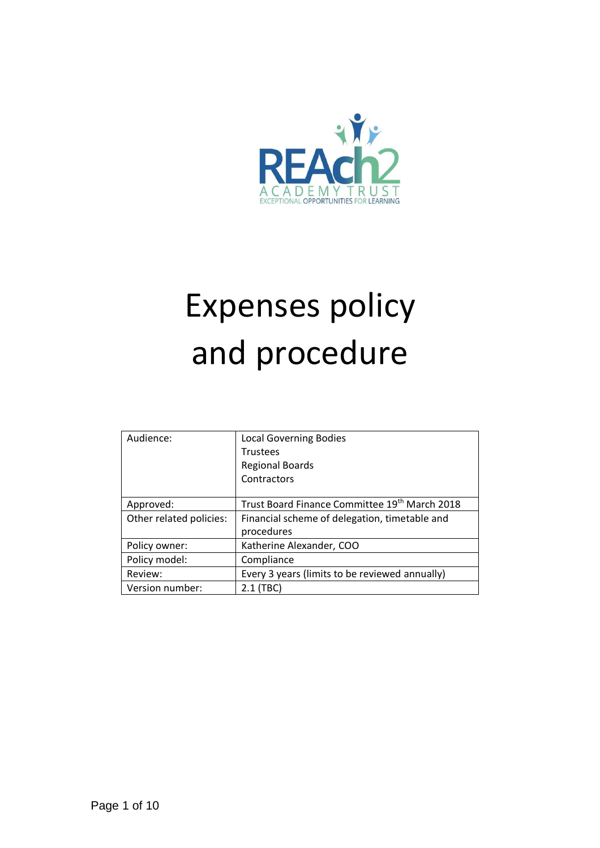

# Expenses policy and procedure

| Audience:               | <b>Local Governing Bodies</b>                  |
|-------------------------|------------------------------------------------|
|                         | <b>Trustees</b>                                |
|                         | <b>Regional Boards</b>                         |
|                         | Contractors                                    |
|                         |                                                |
| Approved:               | Trust Board Finance Committee 19th March 2018  |
| Other related policies: | Financial scheme of delegation, timetable and  |
|                         | procedures                                     |
| Policy owner:           | Katherine Alexander, COO                       |
| Policy model:           | Compliance                                     |
| Review:                 | Every 3 years (limits to be reviewed annually) |
| Version number:         | $2.1$ (TBC)                                    |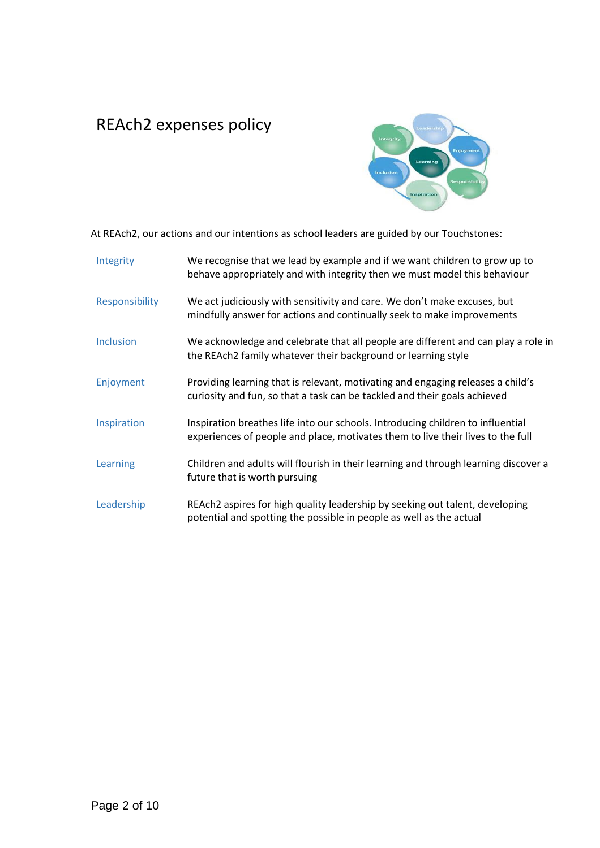# REAch2 expenses policy



At REAch2, our actions and our intentions as school leaders are guided by our Touchstones:

| Integrity      | We recognise that we lead by example and if we want children to grow up to<br>behave appropriately and with integrity then we must model this behaviour            |
|----------------|--------------------------------------------------------------------------------------------------------------------------------------------------------------------|
| Responsibility | We act judiciously with sensitivity and care. We don't make excuses, but<br>mindfully answer for actions and continually seek to make improvements                 |
| Inclusion      | We acknowledge and celebrate that all people are different and can play a role in<br>the REAch2 family whatever their background or learning style                 |
| Enjoyment      | Providing learning that is relevant, motivating and engaging releases a child's<br>curiosity and fun, so that a task can be tackled and their goals achieved       |
| Inspiration    | Inspiration breathes life into our schools. Introducing children to influential<br>experiences of people and place, motivates them to live their lives to the full |
| Learning       | Children and adults will flourish in their learning and through learning discover a<br>future that is worth pursuing                                               |
| Leadership     | REAch2 aspires for high quality leadership by seeking out talent, developing<br>potential and spotting the possible in people as well as the actual                |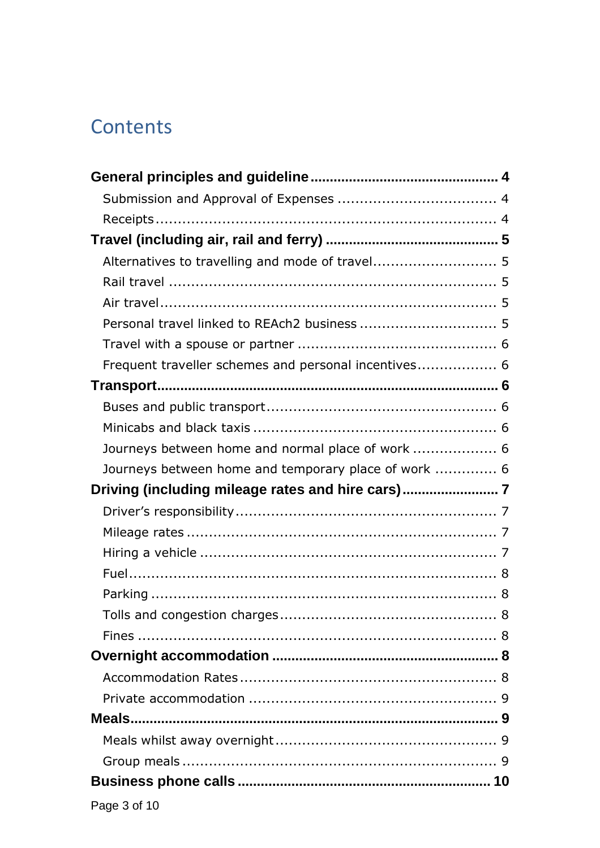# Contents

| Alternatives to travelling and mode of travel 5      |  |
|------------------------------------------------------|--|
|                                                      |  |
|                                                      |  |
|                                                      |  |
|                                                      |  |
| Frequent traveller schemes and personal incentives 6 |  |
|                                                      |  |
|                                                      |  |
|                                                      |  |
| Journeys between home and normal place of work  6    |  |
| Journeys between home and temporary place of work  6 |  |
|                                                      |  |
| Driving (including mileage rates and hire cars)      |  |
|                                                      |  |
|                                                      |  |
|                                                      |  |
|                                                      |  |
|                                                      |  |
|                                                      |  |
|                                                      |  |
|                                                      |  |
|                                                      |  |
|                                                      |  |
|                                                      |  |
|                                                      |  |
|                                                      |  |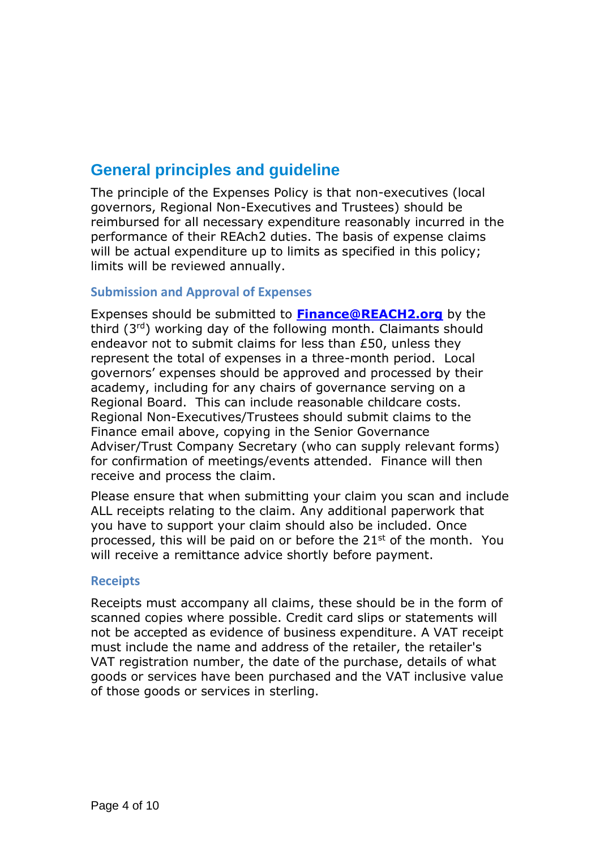## <span id="page-3-0"></span>**General principles and guideline**

The principle of the Expenses Policy is that non-executives (local governors, Regional Non-Executives and Trustees) should be reimbursed for all necessary expenditure reasonably incurred in the performance of their REAch2 duties. The basis of expense claims will be actual expenditure up to limits as specified in this policy; limits will be reviewed annually.

#### <span id="page-3-1"></span>**Submission and Approval of Expenses**

Expenses should be submitted to **[Finance@REACH2.org](mailto:Finance@REACH2.org)** by the third (3rd) working day of the following month. Claimants should endeavor not to submit claims for less than £50, unless they represent the total of expenses in a three-month period. Local governors' expenses should be approved and processed by their academy, including for any chairs of governance serving on a Regional Board. This can include reasonable childcare costs. Regional Non-Executives/Trustees should submit claims to the Finance email above, copying in the Senior Governance Adviser/Trust Company Secretary (who can supply relevant forms) for confirmation of meetings/events attended. Finance will then receive and process the claim.

Please ensure that when submitting your claim you scan and include ALL receipts relating to the claim. Any additional paperwork that you have to support your claim should also be included. Once processed, this will be paid on or before the  $21^{st}$  of the month. You will receive a remittance advice shortly before payment.

#### <span id="page-3-2"></span>**Receipts**

<span id="page-3-3"></span>Receipts must accompany all claims, these should be in the form of scanned copies where possible. Credit card slips or statements will not be accepted as evidence of business expenditure. A VAT receipt must include the name and address of the retailer, the retailer's VAT registration number, the date of the purchase, details of what goods or services have been purchased and the VAT inclusive value of those goods or services in sterling.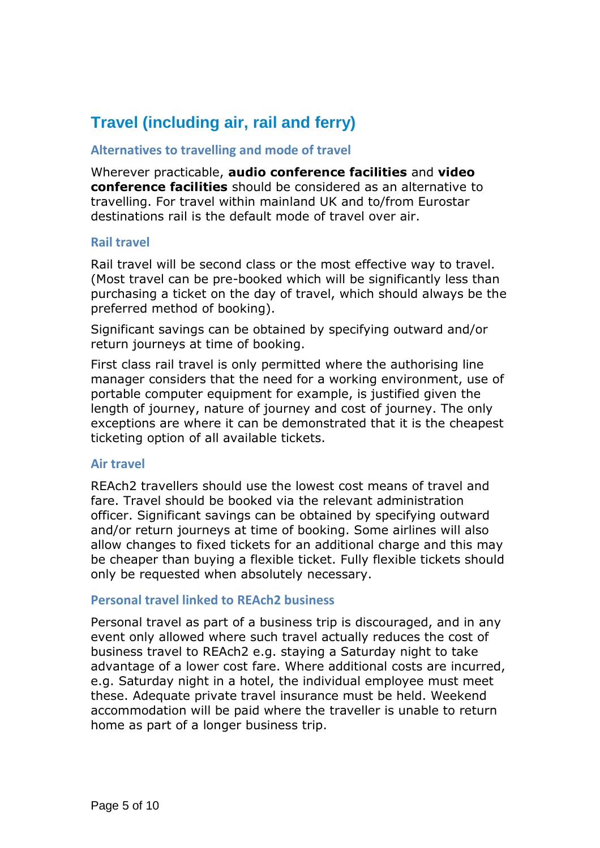# **Travel (including air, rail and ferry)**

#### <span id="page-4-0"></span>**Alternatives to travelling and mode of travel**

Wherever practicable, **audio conference facilities** and **video conference facilities** should be considered as an alternative to travelling. For travel within mainland UK and to/from Eurostar destinations rail is the default mode of travel over air.

#### <span id="page-4-1"></span>**Rail travel**

Rail travel will be second class or the most effective way to travel. (Most travel can be pre-booked which will be significantly less than purchasing a ticket on the day of travel, which should always be the preferred method of booking).

Significant savings can be obtained by specifying outward and/or return journeys at time of booking.

First class rail travel is only permitted where the authorising line manager considers that the need for a working environment, use of portable computer equipment for example, is justified given the length of journey, nature of journey and cost of journey. The only exceptions are where it can be demonstrated that it is the cheapest ticketing option of all available tickets.

#### <span id="page-4-2"></span>**Air travel**

REAch2 travellers should use the lowest cost means of travel and fare. Travel should be booked via the relevant administration officer. Significant savings can be obtained by specifying outward and/or return journeys at time of booking. Some airlines will also allow changes to fixed tickets for an additional charge and this may be cheaper than buying a flexible ticket. Fully flexible tickets should only be requested when absolutely necessary.

#### <span id="page-4-3"></span>**Personal travel linked to REAch2 business**

Personal travel as part of a business trip is discouraged, and in any event only allowed where such travel actually reduces the cost of business travel to REAch2 e.g. staying a Saturday night to take advantage of a lower cost fare. Where additional costs are incurred, e.g. Saturday night in a hotel, the individual employee must meet these. Adequate private travel insurance must be held. Weekend accommodation will be paid where the traveller is unable to return home as part of a longer business trip.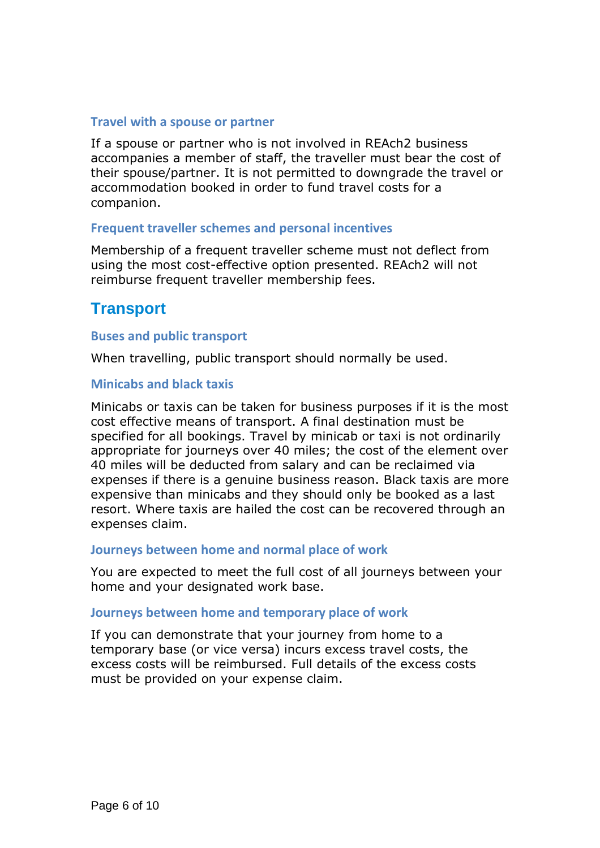#### <span id="page-5-0"></span>**Travel with a spouse or partner**

If a spouse or partner who is not involved in REAch2 business accompanies a member of staff, the traveller must bear the cost of their spouse/partner. It is not permitted to downgrade the travel or accommodation booked in order to fund travel costs for a companion.

#### <span id="page-5-1"></span>**Frequent traveller schemes and personal incentives**

Membership of a frequent traveller scheme must not deflect from using the most cost-effective option presented. REAch2 will not reimburse frequent traveller membership fees.

## <span id="page-5-2"></span>**Transport**

#### <span id="page-5-3"></span>**Buses and public transport**

When travelling, public transport should normally be used.

#### <span id="page-5-4"></span>**Minicabs and black taxis**

Minicabs or taxis can be taken for business purposes if it is the most cost effective means of transport. A final destination must be specified for all bookings. Travel by minicab or taxi is not ordinarily appropriate for journeys over 40 miles; the cost of the element over 40 miles will be deducted from salary and can be reclaimed via expenses if there is a genuine business reason. Black taxis are more expensive than minicabs and they should only be booked as a last resort. Where taxis are hailed the cost can be recovered through an expenses claim.

#### <span id="page-5-5"></span>**Journeys between home and normal place of work**

You are expected to meet the full cost of all journeys between your home and your designated work base.

#### <span id="page-5-6"></span>**Journeys between home and temporary place of work**

<span id="page-5-7"></span>If you can demonstrate that your journey from home to a temporary base (or vice versa) incurs excess travel costs, the excess costs will be reimbursed. Full details of the excess costs must be provided on your expense claim.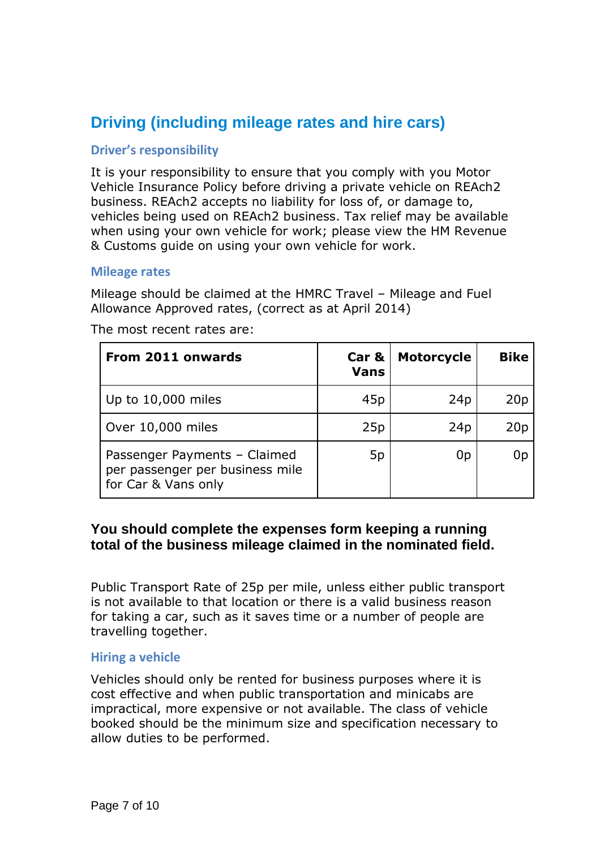## **Driving (including mileage rates and hire cars)**

#### <span id="page-6-0"></span>**Driver's responsibility**

It is your responsibility to ensure that you comply with you Motor Vehicle Insurance Policy before driving a private vehicle on REAch2 business. REAch2 accepts no liability for loss of, or damage to, vehicles being used on REAch2 business. Tax relief may be available when using your own vehicle for work; please view the HM Revenue & Customs guide on using your own vehicle for work.

#### <span id="page-6-1"></span>**Mileage rates**

Mileage should be claimed at the HMRC Travel – Mileage and Fuel Allowance Approved rates, (correct as at April 2014)

| From 2011 onwards                                                                      | Car &<br><b>Vans</b> | <b>Motorcycle</b> | <b>Bike</b>     |
|----------------------------------------------------------------------------------------|----------------------|-------------------|-----------------|
| Up to 10,000 miles                                                                     | 45 <sub>p</sub>      | 24p               | 20p             |
| Over 10,000 miles                                                                      | 25p                  | 24p               | 20 <sub>p</sub> |
| Passenger Payments - Claimed<br>per passenger per business mile<br>for Car & Vans only | 5p                   | 0 <sub>p</sub>    | 0p              |

The most recent rates are:

### **You should complete the expenses form keeping a running total of the business mileage claimed in the nominated field.**

Public Transport Rate of 25p per mile, unless either public transport is not available to that location or there is a valid business reason for taking a car, such as it saves time or a number of people are travelling together.

#### <span id="page-6-2"></span>**Hiring a vehicle**

Vehicles should only be rented for business purposes where it is cost effective and when public transportation and minicabs are impractical, more expensive or not available. The class of vehicle booked should be the minimum size and specification necessary to allow duties to be performed.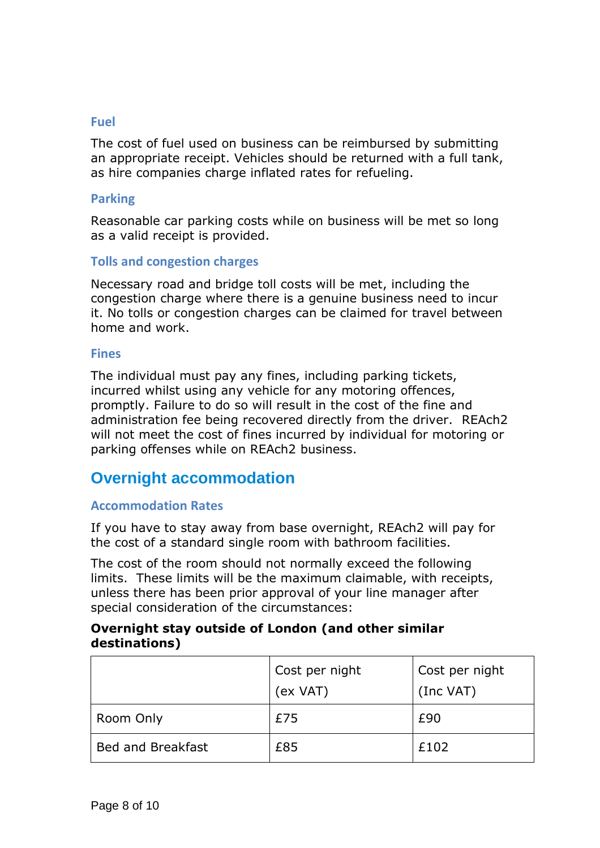#### <span id="page-7-0"></span>**Fuel**

The cost of fuel used on business can be reimbursed by submitting an appropriate receipt. Vehicles should be returned with a full tank, as hire companies charge inflated rates for refueling.

#### <span id="page-7-1"></span>**Parking**

Reasonable car parking costs while on business will be met so long as a valid receipt is provided.

#### <span id="page-7-2"></span>**Tolls and congestion charges**

Necessary road and bridge toll costs will be met, including the congestion charge where there is a genuine business need to incur it. No tolls or congestion charges can be claimed for travel between home and work.

#### <span id="page-7-3"></span>**Fines**

The individual must pay any fines, including parking tickets, incurred whilst using any vehicle for any motoring offences, promptly. Failure to do so will result in the cost of the fine and administration fee being recovered directly from the driver. REAch2 will not meet the cost of fines incurred by individual for motoring or parking offenses while on REAch2 business.

## <span id="page-7-4"></span>**Overnight accommodation**

#### <span id="page-7-5"></span>**Accommodation Rates**

If you have to stay away from base overnight, REAch2 will pay for the cost of a standard single room with bathroom facilities.

The cost of the room should not normally exceed the following limits. These limits will be the maximum claimable, with receipts, unless there has been prior approval of your line manager after special consideration of the circumstances:

#### **Overnight stay outside of London (and other similar destinations)**

|                          | Cost per night<br>(ex VAT) | Cost per night<br>(Inc VAT) |
|--------------------------|----------------------------|-----------------------------|
| Room Only                | £75                        | £90                         |
| <b>Bed and Breakfast</b> | £85                        | £102                        |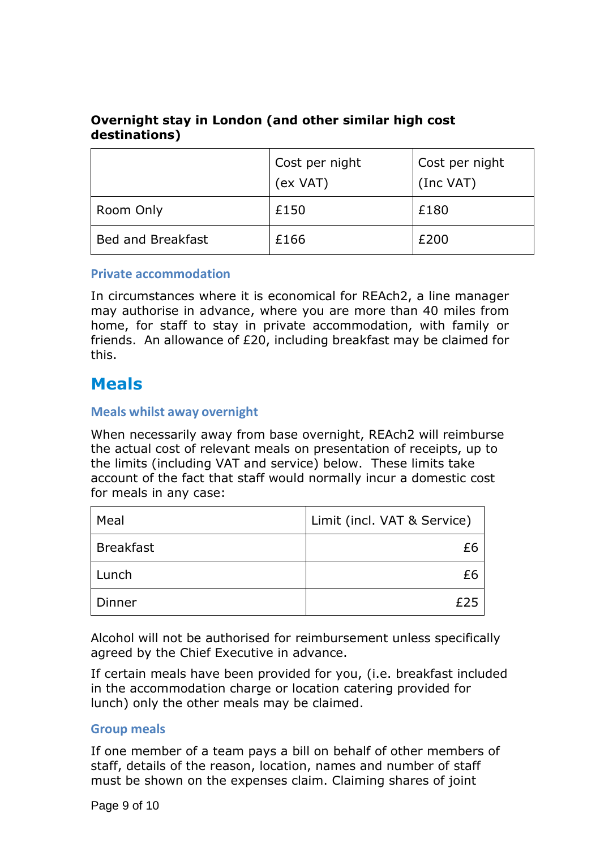## **Overnight stay in London (and other similar high cost destinations)**

|                          | Cost per night<br>(ex VAT) | Cost per night<br>(Inc VAT) |
|--------------------------|----------------------------|-----------------------------|
| Room Only                | £150                       | £180                        |
| <b>Bed and Breakfast</b> | £166                       | £200                        |

#### <span id="page-8-0"></span>**Private accommodation**

In circumstances where it is economical for REAch2, a line manager may authorise in advance, where you are more than 40 miles from home, for staff to stay in private accommodation, with family or friends. An allowance of £20, including breakfast may be claimed for this.

## <span id="page-8-1"></span>**Meals**

#### <span id="page-8-2"></span>**Meals whilst away overnight**

When necessarily away from base overnight, REAch2 will reimburse the actual cost of relevant meals on presentation of receipts, up to the limits (including VAT and service) below. These limits take account of the fact that staff would normally incur a domestic cost for meals in any case:

| Meal             | Limit (incl. VAT & Service) |
|------------------|-----------------------------|
| <b>Breakfast</b> |                             |
| Lunch            |                             |
| Dinner           |                             |

Alcohol will not be authorised for reimbursement unless specifically agreed by the Chief Executive in advance.

If certain meals have been provided for you, (i.e. breakfast included in the accommodation charge or location catering provided for lunch) only the other meals may be claimed.

#### <span id="page-8-3"></span>**Group meals**

If one member of a team pays a bill on behalf of other members of staff, details of the reason, location, names and number of staff must be shown on the expenses claim. Claiming shares of joint